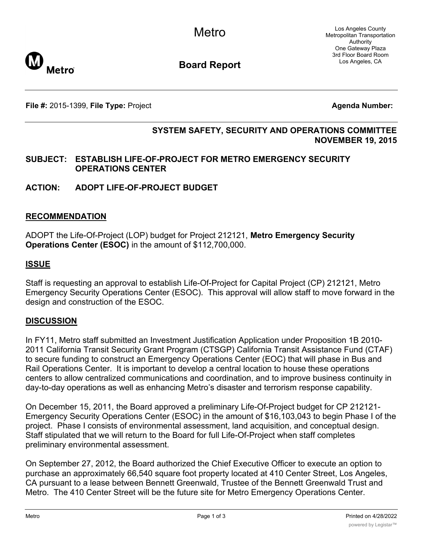Los Angeles County Metropolitan Transportation Authority One Gateway Plaza 3rd Floor Board Room Los Angeles, CA



**Board Report**

**File #:** 2015-1399, File Type: Project **Agents Agenda Number: Agenda Number:** 

# **SYSTEM SAFETY, SECURITY AND OPERATIONS COMMITTEE NOVEMBER 19, 2015**

# **SUBJECT: ESTABLISH LIFE-OF-PROJECT FOR METRO EMERGENCY SECURITY OPERATIONS CENTER**

# **ACTION: ADOPT LIFE-OF-PROJECT BUDGET**

# **RECOMMENDATION**

ADOPT the Life-Of-Project (LOP) budget for Project 212121, **Metro Emergency Security Operations Center (ESOC)** in the amount of \$112,700,000.

# **ISSUE**

Staff is requesting an approval to establish Life-Of-Project for Capital Project (CP) 212121, Metro Emergency Security Operations Center (ESOC). This approval will allow staff to move forward in the design and construction of the ESOC.

# **DISCUSSION**

In FY11, Metro staff submitted an Investment Justification Application under Proposition 1B 2010- 2011 California Transit Security Grant Program (CTSGP) California Transit Assistance Fund (CTAF) to secure funding to construct an Emergency Operations Center (EOC) that will phase in Bus and Rail Operations Center. It is important to develop a central location to house these operations centers to allow centralized communications and coordination, and to improve business continuity in day-to-day operations as well as enhancing Metro's disaster and terrorism response capability.

On December 15, 2011, the Board approved a preliminary Life-Of-Project budget for CP 212121- Emergency Security Operations Center (ESOC) in the amount of \$16,103,043 to begin Phase I of the project. Phase I consists of environmental assessment, land acquisition, and conceptual design. Staff stipulated that we will return to the Board for full Life-Of-Project when staff completes preliminary environmental assessment.

On September 27, 2012, the Board authorized the Chief Executive Officer to execute an option to purchase an approximately 66,540 square foot property located at 410 Center Street, Los Angeles, CA pursuant to a lease between Bennett Greenwald, Trustee of the Bennett Greenwald Trust and Metro. The 410 Center Street will be the future site for Metro Emergency Operations Center.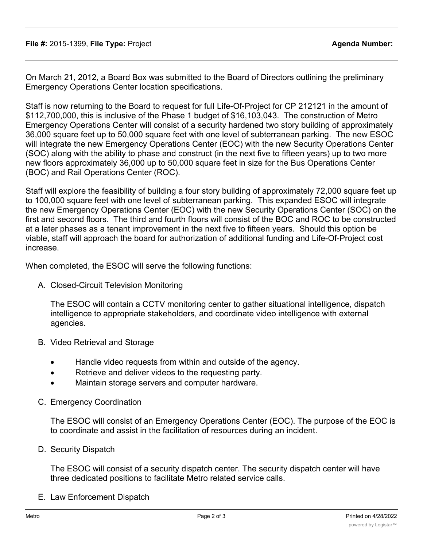On March 21, 2012, a Board Box was submitted to the Board of Directors outlining the preliminary Emergency Operations Center location specifications.

Staff is now returning to the Board to request for full Life-Of-Project for CP 212121 in the amount of \$112,700,000, this is inclusive of the Phase 1 budget of \$16,103,043. The construction of Metro Emergency Operations Center will consist of a security hardened two story building of approximately 36,000 square feet up to 50,000 square feet with one level of subterranean parking. The new ESOC will integrate the new Emergency Operations Center (EOC) with the new Security Operations Center (SOC) along with the ability to phase and construct (in the next five to fifteen years) up to two more new floors approximately 36,000 up to 50,000 square feet in size for the Bus Operations Center (BOC) and Rail Operations Center (ROC).

Staff will explore the feasibility of building a four story building of approximately 72,000 square feet up to 100,000 square feet with one level of subterranean parking. This expanded ESOC will integrate the new Emergency Operations Center (EOC) with the new Security Operations Center (SOC) on the first and second floors. The third and fourth floors will consist of the BOC and ROC to be constructed at a later phases as a tenant improvement in the next five to fifteen years. Should this option be viable, staff will approach the board for authorization of additional funding and Life-Of-Project cost increase.

When completed, the ESOC will serve the following functions:

A. Closed-Circuit Television Monitoring

The ESOC will contain a CCTV monitoring center to gather situational intelligence, dispatch intelligence to appropriate stakeholders, and coordinate video intelligence with external agencies.

- B. Video Retrieval and Storage
	- · Handle video requests from within and outside of the agency.
	- · Retrieve and deliver videos to the requesting party.
	- · Maintain storage servers and computer hardware.
- C. Emergency Coordination

The ESOC will consist of an Emergency Operations Center (EOC). The purpose of the EOC is to coordinate and assist in the facilitation of resources during an incident.

D. Security Dispatch

The ESOC will consist of a security dispatch center. The security dispatch center will have three dedicated positions to facilitate Metro related service calls.

E. Law Enforcement Dispatch